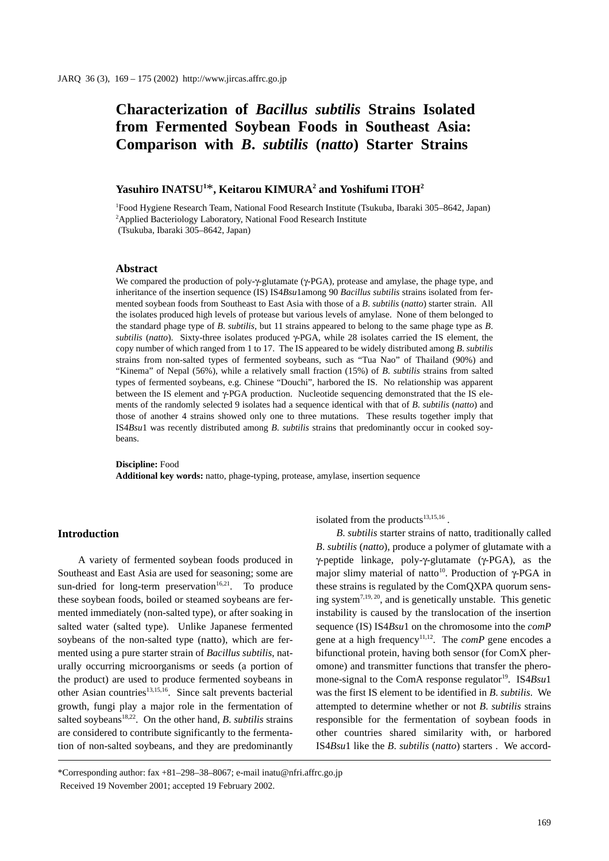# **Characterization of** *Bacillus subtilis* **Strains Isolated from Fermented Soybean Foods in Southeast Asia: Comparison with** *B***.** *subtilis* **(***natto***) Starter Strains**

## **Yasuhiro INATSU1** \***, Keitarou KIMURA2 and Yoshifumi ITOH2**

1 Food Hygiene Research Team, National Food Research Institute (Tsukuba, Ibaraki 305–8642, Japan) <sup>2</sup>Applied Bacteriology Laboratory, National Food Research Institute (Tsukuba, Ibaraki 305–8642, Japan)

#### **Abstract**

We compared the production of poly-γ-glutamate (γ-PGA), protease and amylase, the phage type, and inheritance of the insertion sequence (IS) IS4*Bsu*1among 90 *Bacillus subtilis* strains isolated from fermented soybean foods from Southeast to East Asia with those of a *B*. *subtilis* (*natto*) starter strain. All the isolates produced high levels of protease but various levels of amylase. None of them belonged to the standard phage type of *B*. *subtilis,* but 11 strains appeared to belong to the same phage type as *B*. *subtilis* (*natto*). Sixty-three isolates produced γ-PGA, while 28 isolates carried the IS element, the copy number of which ranged from 1 to 17. The IS appeared to be widely distributed among *B*. *subtilis* strains from non-salted types of fermented soybeans, such as "Tua Nao" of Thailand (90%) and "Kinema" of Nepal (56%), while a relatively small fraction (15%) of *B*. *subtilis* strains from salted types of fermented soybeans, e.g. Chinese "Douchi", harbored the IS. No relationship was apparent between the IS element and γ-PGA production. Nucleotide sequencing demonstrated that the IS elements of the randomly selected 9 isolates had a sequence identical with that of *B*. *subtilis* (*natto*) and those of another 4 strains showed only one to three mutations. These results together imply that IS4*Bsu*1 was recently distributed among *B*. *subtilis* strains that predominantly occur in cooked soybeans.

**Discipline:** Food **Additional key words:** natto, phage-typing, protease, amylase, insertion sequence

#### **Introduction**

A variety of fermented soybean foods produced in Southeast and East Asia are used for seasoning; some are sun-dried for long-term preservation<sup>16,21</sup>. To produce these soybean foods, boiled or steamed soybeans are fermented immediately (non-salted type), or after soaking in salted water (salted type). Unlike Japanese fermented soybeans of the non-salted type (natto), which are fermented using a pure starter strain of *Bacillus subtilis*, naturally occurring microorganisms or seeds (a portion of the product) are used to produce fermented soybeans in other Asian countries<sup>13,15,16</sup>. Since salt prevents bacterial growth, fungi play a major role in the fermentation of salted soybeans<sup>18,22</sup>. On the other hand,  $B$ . *subtilis* strains are considered to contribute significantly to the fermentation of non-salted soybeans, and they are predominantly isolated from the products $13,15,16$ .

*B*. *subtilis* starter strains of natto, traditionally called *B*. *subtilis* (*natto*), produce a polymer of glutamate with a γ-peptide linkage, poly-γ-glutamate (γ-PGA), as the major slimy material of natto<sup>10</sup>. Production of γ-PGA in these strains is regulated by the ComQXPA quorum sensing system<sup>7,19, 20</sup>, and is genetically unstable. This genetic instability is caused by the translocation of the insertion sequence (IS) IS4*Bsu*1 on the chromosome into the *comP* gene at a high frequency<sup>11,12</sup>. The *comP* gene encodes a bifunctional protein, having both sensor (for ComX pheromone) and transmitter functions that transfer the pheromone-signal to the ComA response regulator<sup>19</sup>. IS4Bsu1 was the first IS element to be identified in *B*. *subtilis*. We attempted to determine whether or not *B*. *subtilis* strains responsible for the fermentation of soybean foods in other countries shared similarity with, or harbored IS4*Bsu*1 like the *B*. *subtilis* (*natto*) starters . We accord-

<sup>\*</sup>Corresponding author: fax +81–298–38–8067; e-mail inatu@nfri.affrc.go.jp Received 19 November 2001; accepted 19 February 2002.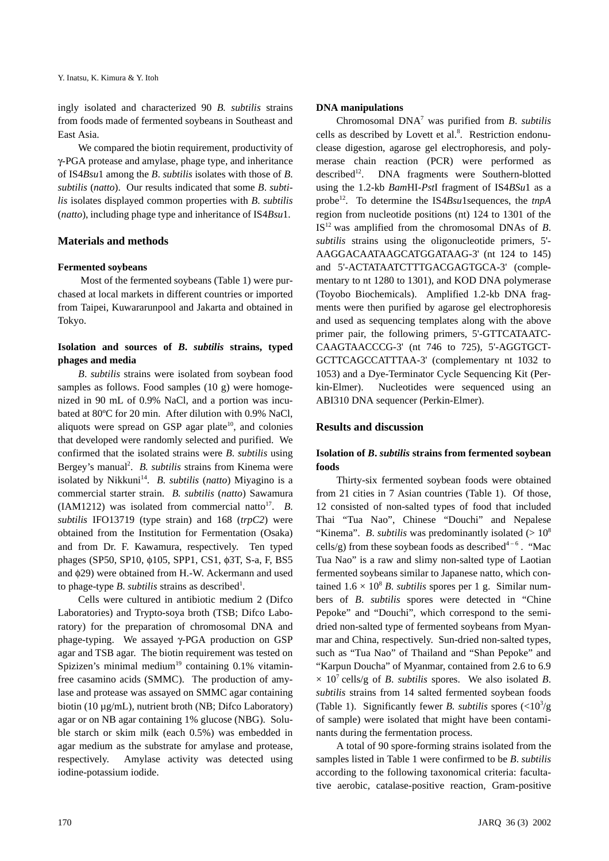ingly isolated and characterized 90 *B. subtilis* strains from foods made of fermented soybeans in Southeast and East Asia.

We compared the biotin requirement, productivity of γ-PGA protease and amylase, phage type, and inheritance of IS4*Bsu*1 among the *B*. *subtilis* isolates with those of *B*. *subtilis* (*natto*). Our results indicated that some *B*. *subtilis* isolates displayed common properties with *B*. *subtilis* (*natto*), including phage type and inheritance of IS4*Bsu*1.

## **Materials and methods**

### **Fermented soybeans**

 Most of the fermented soybeans (Table 1) were purchased at local markets in different countries or imported from Taipei, Kuwararunpool and Jakarta and obtained in Tokyo.

## **Isolation and sources of** *B***.** *subtilis* **strains, typed phages and media**

*B*. *subtilis* strains were isolated from soybean food samples as follows. Food samples (10 g) were homogenized in 90 mL of 0.9% NaCl, and a portion was incubated at 80ºC for 20 min. After dilution with 0.9% NaCl, aliquots were spread on GSP agar plate<sup>10</sup>, and colonies that developed were randomly selected and purified. We confirmed that the isolated strains were *B*. *subtilis* using Bergey's manual<sup>2</sup>. *B. subtilis* strains from Kinema were isolated by Nikkuni<sup>14</sup>. *B. subtilis (natto)* Miyagino is a commercial starter strain. *B. subtilis* (*natto*) Sawamura (IAM1212) was isolated from commercial natto<sup>17</sup>. *B*. *subtilis* IFO13719 (type strain) and 168 (*trpC2*) were obtained from the Institution for Fermentation (Osaka) and from Dr. F. Kawamura, respectively. Ten typed phages (SP50, SP10, φ105, SPP1, CS1, φ3T, S-a, F, BS5 and φ29) were obtained from H.-W. Ackermann and used to phage-type *B*. *subtilis* strains as described<sup>1</sup>.

Cells were cultured in antibiotic medium 2 (Difco Laboratories) and Trypto-soya broth (TSB; Difco Laboratory) for the preparation of chromosomal DNA and phage-typing. We assayed γ-PGA production on GSP agar and TSB agar. The biotin requirement was tested on Spizizen's minimal medium<sup>19</sup> containing  $0.1\%$  vitaminfree casamino acids (SMMC). The production of amylase and protease was assayed on SMMC agar containing biotin (10 µg/mL), nutrient broth (NB; Difco Laboratory) agar or on NB agar containing 1% glucose (NBG). Soluble starch or skim milk (each 0.5%) was embedded in agar medium as the substrate for amylase and protease, respectively. Amylase activity was detected using iodine-potassium iodide.

### **DNA manipulations**

Chromosomal DNA7 was purified from *B*. *subtilis* cells as described by Lovett et al.<sup>8</sup>. Restriction endonuclease digestion, agarose gel electrophoresis, and polymerase chain reaction (PCR) were performed as described<sup>12</sup>. DNA fragments were Southern-blotted using the 1.2-kb *Bam*HI-*Pst*I fragment of IS4*BSu*1 as a probe<sup>12</sup>. To determine the IS4*Bsu*1sequences, the *tnpA* region from nucleotide positions (nt) 124 to 1301 of the  $IS<sup>12</sup>$  was amplified from the chromosomal DNAs of *B*. *subtilis* strains using the oligonucleotide primers, 5'- AAGGACAATAAGCATGGATAAG-3' (nt 124 to 145) and 5'-ACTATAATCTTTGACGAGTGCA-3' (complementary to nt 1280 to 1301), and KOD DNA polymerase (Toyobo Biochemicals). Amplified 1.2-kb DNA fragments were then purified by agarose gel electrophoresis and used as sequencing templates along with the above primer pair, the following primers, 5'-GTTCATAATC-CAAGTAACCCG-3' (nt 746 to 725), 5'-AGGTGCT-GCTTCAGCCATTTAA-3' (complementary nt 1032 to 1053) and a Dye-Terminator Cycle Sequencing Kit (Perkin-Elmer). Nucleotides were sequenced using an ABI310 DNA sequencer (Perkin-Elmer).

### **Results and discussion**

## **Isolation of** *B***.** *subtilis* **strains from fermented soybean foods**

Thirty-six fermented soybean foods were obtained from 21 cities in 7 Asian countries (Table 1). Of those, 12 consisted of non-salted types of food that included Thai "Tua Nao", Chinese "Douchi" and Nepalese "Kinema". *B. subtilis* was predominantly isolated  $(>10^8)$ cells/g) from these soybean foods as described<sup>4-6</sup>. "Mac Tua Nao" is a raw and slimy non-salted type of Laotian fermented soybeans similar to Japanese natto, which contained  $1.6 \times 10^8$  *B. subtilis* spores per 1 g. Similar numbers of *B*. *subtilis* spores were detected in "Chine Pepoke" and "Douchi", which correspond to the semidried non-salted type of fermented soybeans from Myanmar and China, respectively. Sun-dried non-salted types, such as "Tua Nao" of Thailand and "Shan Pepoke" and "Karpun Doucha" of Myanmar, contained from 2.6 to 6.9  $\times$  10<sup>7</sup> cells/g of *B*. *subtilis* spores. We also isolated *B*. *subtilis* strains from 14 salted fermented soybean foods (Table 1). Significantly fewer *B. subtilis* spores  $\left(\frac{<10^3}{g}\right)$ of sample) were isolated that might have been contaminants during the fermentation process.

A total of 90 spore-forming strains isolated from the samples listed in Table 1 were confirmed to be *B*. *subtilis* according to the following taxonomical criteria: facultative aerobic, catalase-positive reaction, Gram-positive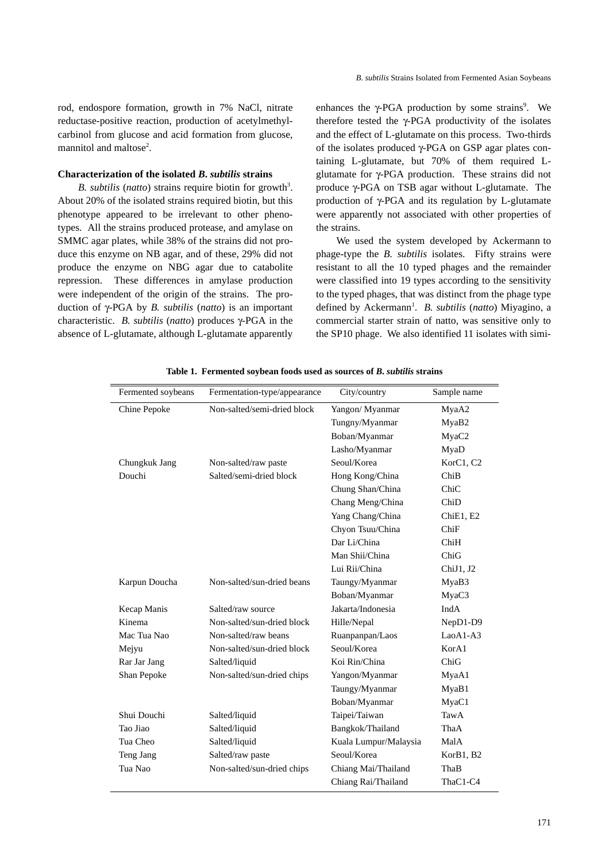rod, endospore formation, growth in 7% NaCl, nitrate reductase-positive reaction, production of acetylmethylcarbinol from glucose and acid formation from glucose, mannitol and maltose<sup>2</sup>.

#### **Characterization of the isolated** *B***.** *subtilis* **strains**

*B. subtilis (natto)* strains require biotin for growth<sup>3</sup>. About 20% of the isolated strains required biotin, but this phenotype appeared to be irrelevant to other phenotypes. All the strains produced protease, and amylase on SMMC agar plates, while 38% of the strains did not produce this enzyme on NB agar, and of these, 29% did not produce the enzyme on NBG agar due to catabolite repression. These differences in amylase production were independent of the origin of the strains. The production of γ-PGA by *B. subtilis* (*natto*) is an important characteristic. *B. subtilis* (*natto*) produces γ-PGA in the absence of L-glutamate, although L-glutamate apparently

enhances the  $\gamma$ -PGA production by some strains<sup>9</sup>. We therefore tested the  $\gamma$ -PGA productivity of the isolates and the effect of L-glutamate on this process. Two-thirds of the isolates produced γ-PGA on GSP agar plates containing L-glutamate, but 70% of them required Lglutamate for γ-PGA production. These strains did not produce γ-PGA on TSB agar without L-glutamate. The production of γ-PGA and its regulation by L-glutamate were apparently not associated with other properties of the strains.

 We used the system developed by Ackermann to phage-type the *B. subtilis* isolates. Fifty strains were resistant to all the 10 typed phages and the remainder were classified into 19 types according to the sensitivity to the typed phages, that was distinct from the phage type defined by Ackermann<sup>1</sup>. *B. subtilis (natto)* Miyagino, a commercial starter strain of natto, was sensitive only to the SP10 phage. We also identified 11 isolates with simi-

| Fermented soybeans | Fermentation-type/appearance | City/country          | Sample name |
|--------------------|------------------------------|-----------------------|-------------|
| Chine Pepoke       | Non-salted/semi-dried block  | Yangon/ Myanmar       | MyaA2       |
|                    |                              | Tungny/Myanmar        | MyaB2       |
|                    |                              | Boban/Myanmar         | MyaC2       |
|                    |                              | Lasho/Myanmar         | MyaD        |
| Chungkuk Jang      | Non-salted/raw paste         | Seoul/Korea           | KorC1, C2   |
| Douchi             | Salted/semi-dried block      | Hong Kong/China       | ChiB        |
|                    |                              | Chung Shan/China      | ChiC        |
|                    |                              | Chang Meng/China      | ChiD        |
|                    |                              | Yang Chang/China      | ChiE1, E2   |
|                    |                              | Chyon Tsuu/China      | ChiF        |
|                    |                              | Dar Li/China          | ChiH        |
|                    |                              | Man Shii/China        | ChiG        |
|                    |                              | Lui Rii/China         | ChiJ1, J2   |
| Karpun Doucha      | Non-salted/sun-dried beans   | Taungy/Myanmar        | MyaB3       |
|                    |                              | Boban/Myanmar         | MyaC3       |
| Kecap Manis        | Salted/raw source            | Jakarta/Indonesia     | <b>IndA</b> |
| Kinema             | Non-salted/sun-dried block   | Hille/Nepal           | NepD1-D9    |
| Mac Tua Nao        | Non-salted/raw beans         | Ruanpanpan/Laos       | LaoA1-A3    |
| Mejyu              | Non-salted/sun-dried block   | Seoul/Korea           | KorA1       |
| Rar Jar Jang       | Salted/liquid                | Koi Rin/China         | ChiG        |
| Shan Pepoke        | Non-salted/sun-dried chips   | Yangon/Myanmar        | MyaA1       |
|                    |                              | Taungy/Myanmar        | MyaB1       |
|                    |                              | Boban/Myanmar         | MyaC1       |
| Shui Douchi        | Salted/liquid                | Taipei/Taiwan         | TawA        |
| Tao Jiao           | Salted/liquid                | Bangkok/Thailand      | ThaA        |
| Tua Cheo           | Salted/liquid                | Kuala Lumpur/Malaysia | MalA        |
| Teng Jang          | Salted/raw paste             | Seoul/Korea           | KorB1, B2   |
| Tua Nao            | Non-salted/sun-dried chips   | Chiang Mai/Thailand   | ThaB        |
|                    |                              | Chiang Rai/Thailand   | ThaC1-C4    |
|                    |                              |                       |             |

**Table 1. Fermented soybean foods used as sources of** *B***.** *subtilis* **strains**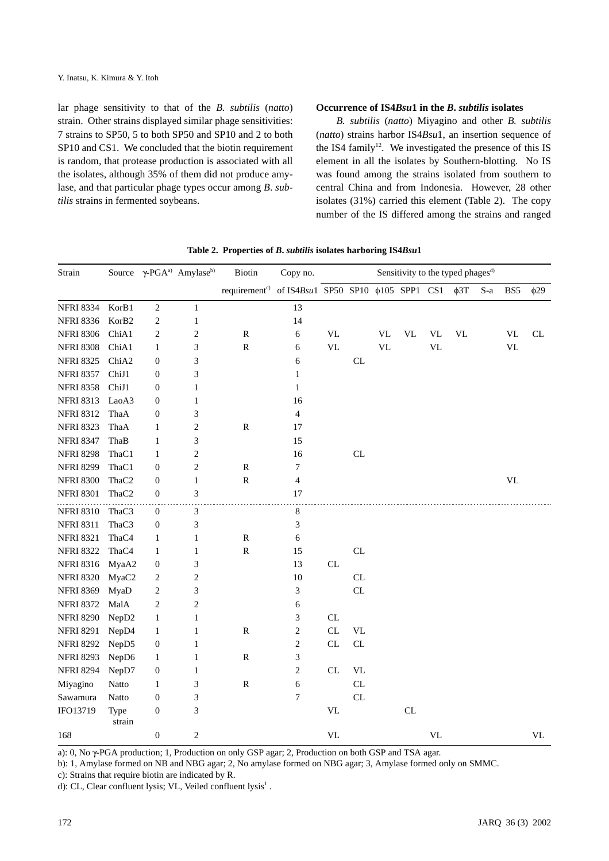lar phage sensitivity to that of the *B. subtilis* (*natto*) strain. Other strains displayed similar phage sensitivities: 7 strains to SP50, 5 to both SP50 and SP10 and 2 to both SP10 and CS1. We concluded that the biotin requirement is random, that protease production is associated with all the isolates, although 35% of them did not produce amylase, and that particular phage types occur among *B*. *subtilis* strains in fermented soybeans.

#### **Occurrence of IS4***Bsu***1 in the** *B***.** *subtilis* **isolates**

*B. subtilis* (*natto*) Miyagino and other *B. subtilis* (*natto*) strains harbor IS4*Bsu*1, an insertion sequence of the IS4 family<sup>12</sup>. We investigated the presence of this IS element in all the isolates by Southern-blotting. No IS was found among the strains isolated from southern to central China and from Indonesia. However, 28 other isolates (31%) carried this element (Table 2). The copy number of the IS differed among the strains and ranged

| Strain           |                   |                  | Source γ-PGA <sup>a)</sup> Amylase <sup>b)</sup> | Biotin                                                                       | Copy no.         | Sensitivity to the typed phages <sup>d)</sup> |                                   |                                 |           |                                 |           |     |           |                                 |
|------------------|-------------------|------------------|--------------------------------------------------|------------------------------------------------------------------------------|------------------|-----------------------------------------------|-----------------------------------|---------------------------------|-----------|---------------------------------|-----------|-----|-----------|---------------------------------|
|                  |                   |                  |                                                  | requirement <sup>c)</sup> of IS4Bsu1 SP50 SP10 $\phi$ 105 SPP1 CS1 $\phi$ 3T |                  |                                               |                                   |                                 |           |                                 |           | S-a | BS5       | $\phi$ 29                       |
| <b>NFRI 8334</b> | KorB1             | 2                | $\mathbf{1}$                                     |                                                                              | 13               |                                               |                                   |                                 |           |                                 |           |     |           |                                 |
| <b>NFRI 8336</b> | KorB2             | $\overline{c}$   | 1                                                |                                                                              | 14               |                                               |                                   |                                 |           |                                 |           |     |           |                                 |
| <b>NFRI 8306</b> | ChiA1             | 2                | 2                                                | ${\bf R}$                                                                    | $\sqrt{6}$       | <b>VL</b>                                     |                                   | $\ensuremath{\text{VL}}\xspace$ | <b>VL</b> | VL                              | <b>VL</b> |     | <b>VL</b> | CL                              |
| <b>NFRI 8308</b> | ChiA1             | $\mathbf{1}$     | 3                                                | ${\bf R}$                                                                    | 6                | <b>VL</b>                                     |                                   | <b>VL</b>                       |           | $\ensuremath{\text{VL}}$        |           |     | <b>VL</b> |                                 |
| <b>NFRI 8325</b> | ChiA2             | $\boldsymbol{0}$ | 3                                                |                                                                              | 6                |                                               | CL                                |                                 |           |                                 |           |     |           |                                 |
| <b>NFRI 8357</b> | ChiJ1             | $\boldsymbol{0}$ | 3                                                |                                                                              | $\mathbf{1}$     |                                               |                                   |                                 |           |                                 |           |     |           |                                 |
| <b>NFRI 8358</b> | ChiJ1             | 0                | 1                                                |                                                                              | $\mathbf{1}$     |                                               |                                   |                                 |           |                                 |           |     |           |                                 |
| <b>NFRI 8313</b> | LaoA3             | 0                | 1                                                |                                                                              | 16               |                                               |                                   |                                 |           |                                 |           |     |           |                                 |
| <b>NFRI 8312</b> | ThaA              | 0                | 3                                                |                                                                              | $\overline{4}$   |                                               |                                   |                                 |           |                                 |           |     |           |                                 |
| <b>NFRI 8323</b> | ThaA              | $\mathbf{1}$     | $\boldsymbol{2}$                                 | ${\bf R}$                                                                    | 17               |                                               |                                   |                                 |           |                                 |           |     |           |                                 |
| <b>NFRI 8347</b> | ThaB              | $\mathbf{1}$     | 3                                                |                                                                              | 15               |                                               |                                   |                                 |           |                                 |           |     |           |                                 |
| <b>NFRI 8298</b> | ThaC1             | 1                | $\overline{c}$                                   |                                                                              | 16               |                                               | CL                                |                                 |           |                                 |           |     |           |                                 |
| <b>NFRI 8299</b> | ThaC1             | $\boldsymbol{0}$ | $\sqrt{2}$                                       | ${\bf R}$                                                                    | 7                |                                               |                                   |                                 |           |                                 |           |     |           |                                 |
| <b>NFRI 8300</b> | ThaC <sub>2</sub> | $\boldsymbol{0}$ | $\mathbf{1}$                                     | ${\bf R}$                                                                    | $\overline{4}$   |                                               |                                   |                                 |           |                                 |           |     | <b>VL</b> |                                 |
| <b>NFRI 8301</b> | ThaC <sub>2</sub> | $\boldsymbol{0}$ | 3                                                |                                                                              | 17               |                                               |                                   |                                 |           |                                 |           |     |           |                                 |
| <b>NFRI 8310</b> | ThaC3             | 0                | 3                                                |                                                                              | 8                |                                               |                                   |                                 |           |                                 |           |     |           |                                 |
| <b>NFRI 8311</b> | ThaC3             | $\boldsymbol{0}$ | 3                                                |                                                                              | $\mathfrak{Z}$   |                                               |                                   |                                 |           |                                 |           |     |           |                                 |
| <b>NFRI 8321</b> | ThaC4             | 1                | 1                                                | ${\bf R}$                                                                    | 6                |                                               |                                   |                                 |           |                                 |           |     |           |                                 |
| <b>NFRI 8322</b> | ThaC4             | $\mathbf{1}$     | 1                                                | ${\bf R}$                                                                    | 15               |                                               | CL                                |                                 |           |                                 |           |     |           |                                 |
| <b>NFRI 8316</b> | MyaA2             | $\boldsymbol{0}$ | 3                                                |                                                                              | 13               | ${\rm CL}$                                    |                                   |                                 |           |                                 |           |     |           |                                 |
| <b>NFRI 8320</b> | MyaC2             | 2                | 2                                                |                                                                              | 10               |                                               | $\ensuremath{\textup{CL}}\xspace$ |                                 |           |                                 |           |     |           |                                 |
| <b>NFRI 8369</b> | MyaD              | $\overline{c}$   | 3                                                |                                                                              | 3                |                                               | CL                                |                                 |           |                                 |           |     |           |                                 |
| <b>NFRI 8372</b> | MalA              | $\overline{c}$   | 2                                                |                                                                              | 6                |                                               |                                   |                                 |           |                                 |           |     |           |                                 |
| <b>NFRI 8290</b> | NepD <sub>2</sub> | $\mathbf{1}$     | 1                                                |                                                                              | 3                | ${\rm CL}$                                    |                                   |                                 |           |                                 |           |     |           |                                 |
| <b>NFRI 8291</b> | NepD4             | 1                | 1                                                | ${\bf R}$                                                                    | $\sqrt{2}$       | ${\rm CL}$                                    | <b>VL</b>                         |                                 |           |                                 |           |     |           |                                 |
| <b>NFRI 8292</b> | NepD5             | $\boldsymbol{0}$ | 1                                                |                                                                              | $\sqrt{2}$       | $\ensuremath{\textup{CL}}\xspace$             | CL                                |                                 |           |                                 |           |     |           |                                 |
| <b>NFRI 8293</b> | NepD6             | 1                | 1                                                | ${\bf R}$                                                                    | 3                |                                               |                                   |                                 |           |                                 |           |     |           |                                 |
| <b>NFRI 8294</b> | NepD7             | $\boldsymbol{0}$ | 1                                                |                                                                              | $\sqrt{2}$       | CL                                            | <b>VL</b>                         |                                 |           |                                 |           |     |           |                                 |
| Miyagino         | Natto             | $\mathbf{1}$     | 3                                                | ${\bf R}$                                                                    | 6                |                                               | CL                                |                                 |           |                                 |           |     |           |                                 |
| Sawamura         | Natto             | $\boldsymbol{0}$ | 3                                                |                                                                              | $\boldsymbol{7}$ |                                               | CL                                |                                 |           |                                 |           |     |           |                                 |
| IFO13719         | Type<br>strain    | $\boldsymbol{0}$ | 3                                                |                                                                              |                  | $\ensuremath{\text{VL}}\xspace$               |                                   |                                 | CL        |                                 |           |     |           |                                 |
| 168              |                   | $\boldsymbol{0}$ | $\boldsymbol{2}$                                 |                                                                              |                  | $\ensuremath{\text{VL}}\xspace$               |                                   |                                 |           | $\ensuremath{\text{VL}}\xspace$ |           |     |           | $\ensuremath{\text{VL}}\xspace$ |

**Table 2. Properties of** *B***.** *subtilis* **isolates harboring IS4***Bsu***1**

a): 0, No γ-PGA production; 1, Production on only GSP agar; 2, Production on both GSP and TSA agar.

b): 1, Amylase formed on NB and NBG agar; 2, No amylase formed on NBG agar; 3, Amylase formed only on SMMC.

c): Strains that require biotin are indicated by R.

d): CL, Clear confluent lysis; VL, Veiled confluent lysis<sup>1</sup>.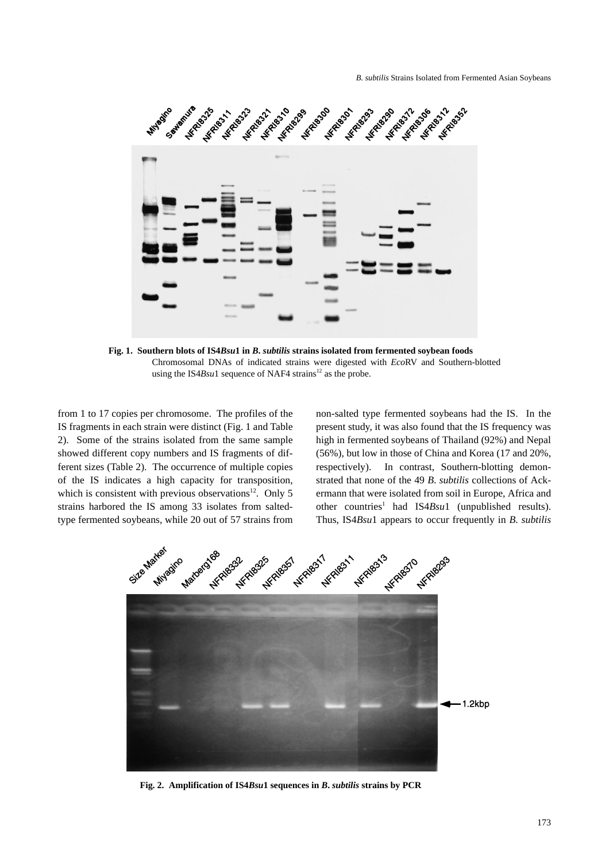

**Fig. 1. Southern blots of IS4***Bsu***1 in** *B***.** *subtilis* **strains isolated from fermented soybean foods**  Chromosomal DNAs of indicated strains were digested with *Eco*RV and Southern-blotted using the IS4*Bsu*1 sequence of NAF4 strains<sup>12</sup> as the probe.

from 1 to 17 copies per chromosome. The profiles of the IS fragments in each strain were distinct (Fig. 1 and Table 2). Some of the strains isolated from the same sample showed different copy numbers and IS fragments of different sizes (Table 2). The occurrence of multiple copies of the IS indicates a high capacity for transposition, which is consistent with previous observations<sup>12</sup>. Only 5 strains harbored the IS among 33 isolates from saltedtype fermented soybeans, while 20 out of 57 strains from non-salted type fermented soybeans had the IS. In the present study, it was also found that the IS frequency was high in fermented soybeans of Thailand (92%) and Nepal (56%), but low in those of China and Korea (17 and 20%, respectively). In contrast, Southern-blotting demonstrated that none of the 49 *B*. *subtilis* collections of Ackermann that were isolated from soil in Europe, Africa and other countries<sup>1</sup> had IS4*Bsu*1 (unpublished results). Thus, IS4*Bsu*1 appears to occur frequently in *B*. *subtilis*



**Fig. 2. Amplification of IS4***Bsu***1 sequences in** *B***.** *subtilis* **strains by PCR**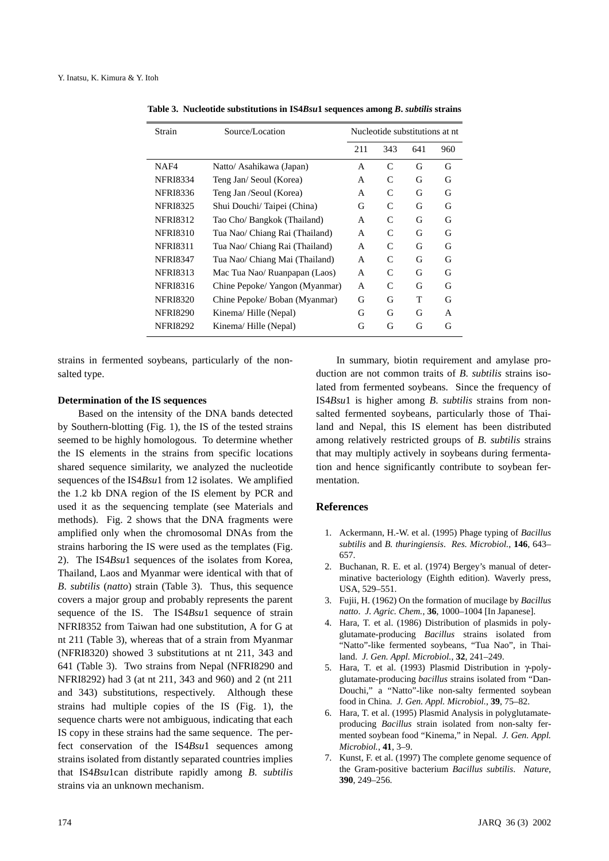| Strain          | Source/Location                | Nucleotide substitutions at nt |              |     |     |  |  |
|-----------------|--------------------------------|--------------------------------|--------------|-----|-----|--|--|
|                 |                                | 211                            | 343          | 641 | 960 |  |  |
| NAF4            | Natto/ Asahikawa (Japan)       | A                              | $\mathsf{C}$ | G   | G   |  |  |
| <b>NFRI8334</b> | Teng Jan/ Seoul (Korea)        | A                              | C            | G   | G   |  |  |
| <b>NFRI8336</b> | Teng Jan /Seoul (Korea)        | A                              | C            | G   | G   |  |  |
| <b>NFRI8325</b> | Shui Douchi/Taipei (China)     | G                              | C            | G   | G   |  |  |
| <b>NFRI8312</b> | Tao Cho/ Bangkok (Thailand)    | A                              | C            | G   | G   |  |  |
| <b>NFRI8310</b> | Tua Nao/ Chiang Rai (Thailand) | A                              | C            | G   | G   |  |  |
| <b>NFRI8311</b> | Tua Nao/ Chiang Rai (Thailand) | A                              | C            | G   | G   |  |  |
| <b>NFRI8347</b> | Tua Nao/ Chiang Mai (Thailand) | A                              | C            | G   | G   |  |  |
| <b>NFRI8313</b> | Mac Tua Nao/ Ruanpapan (Laos)  | A                              | C            | G   | G   |  |  |
| <b>NFRI8316</b> | Chine Pepoke/ Yangon (Myanmar) | A                              | C            | G   | G   |  |  |
| <b>NFRI8320</b> | Chine Pepoke/ Boban (Myanmar)  | G                              | G            | т   | G   |  |  |
| <b>NFRI8290</b> | Kinema/Hille (Nepal)           | G                              | G            | G   | A   |  |  |
| <b>NFRI8292</b> | Kinema/Hille (Nepal)           | G                              | G            | G   | G   |  |  |

**Table 3. Nucleotide substitutions in IS4***Bsu***1 sequences among** *B***.** *subtilis* **strains**

strains in fermented soybeans, particularly of the nonsalted type.

#### **Determination of the IS sequences**

Based on the intensity of the DNA bands detected by Southern-blotting (Fig. 1), the IS of the tested strains seemed to be highly homologous. To determine whether the IS elements in the strains from specific locations shared sequence similarity, we analyzed the nucleotide sequences of the IS4*Bsu*1 from 12 isolates. We amplified the 1.2 kb DNA region of the IS element by PCR and used it as the sequencing template (see Materials and methods). Fig. 2 shows that the DNA fragments were amplified only when the chromosomal DNAs from the strains harboring the IS were used as the templates (Fig. 2). The IS4*Bsu*1 sequences of the isolates from Korea, Thailand, Laos and Myanmar were identical with that of *B*. *subtilis* (*natto*) strain (Table 3). Thus, this sequence covers a major group and probably represents the parent sequence of the IS. The IS4*Bsu*1 sequence of strain NFRI8352 from Taiwan had one substitution, A for G at nt 211 (Table 3), whereas that of a strain from Myanmar (NFRI8320) showed 3 substitutions at nt 211, 343 and 641 (Table 3). Two strains from Nepal (NFRI8290 and NFRI8292) had 3 (at nt 211, 343 and 960) and 2 (nt 211 and 343) substitutions, respectively. Although these strains had multiple copies of the IS (Fig. 1), the sequence charts were not ambiguous, indicating that each IS copy in these strains had the same sequence. The perfect conservation of the IS4*Bsu*1 sequences among strains isolated from distantly separated countries implies that IS4*Bsu*1can distribute rapidly among *B*. *subtilis* strains via an unknown mechanism.

In summary, biotin requirement and amylase production are not common traits of *B*. *subtilis* strains isolated from fermented soybeans. Since the frequency of IS4*Bsu*1 is higher among *B*. *subtilis* strains from nonsalted fermented soybeans, particularly those of Thailand and Nepal, this IS element has been distributed among relatively restricted groups of *B*. *subtilis* strains that may multiply actively in soybeans during fermentation and hence significantly contribute to soybean fermentation.

#### **References**

- 1. Ackermann, H.-W. et al. (1995) Phage typing of *Bacillus subtilis* and *B. thuringiensis*. *Res. Microbiol.*, **146**, 643– 657.
- 2. Buchanan, R. E. et al. (1974) Bergey's manual of determinative bacteriology (Eighth edition). Waverly press, USA, 529–551.
- 3. Fujii, H. (1962) On the formation of mucilage by *Bacillus natto*. *J. Agric. Chem.*, **36**, 1000–1004 [In Japanese].
- 4. Hara, T. et al. (1986) Distribution of plasmids in polyglutamate-producing *Bacillus* strains isolated from "Natto"-like fermented soybeans, "Tua Nao", in Thailand. *J. Gen. Appl. Microbiol.*, **32**, 241–249.
- 5. Hara, T. et al. (1993) Plasmid Distribution in γ-polyglutamate-producing *bacillus* strains isolated from "Dan-Douchi," a "Natto"-like non-salty fermented soybean food in China. *J. Gen. Appl. Microbiol.*, **39**, 75–82.
- 6. Hara, T. et al. (1995) Plasmid Analysis in polyglutamateproducing *Bacillus* strain isolated from non-salty fermented soybean food "Kinema," in Nepal. *J. Gen. Appl. Microbiol.*, **41**, 3–9.
- 7. Kunst, F. et al. (1997) The complete genome sequence of the Gram-positive bacterium *Bacillus subtilis*. *Nature*, **390**, 249–256.